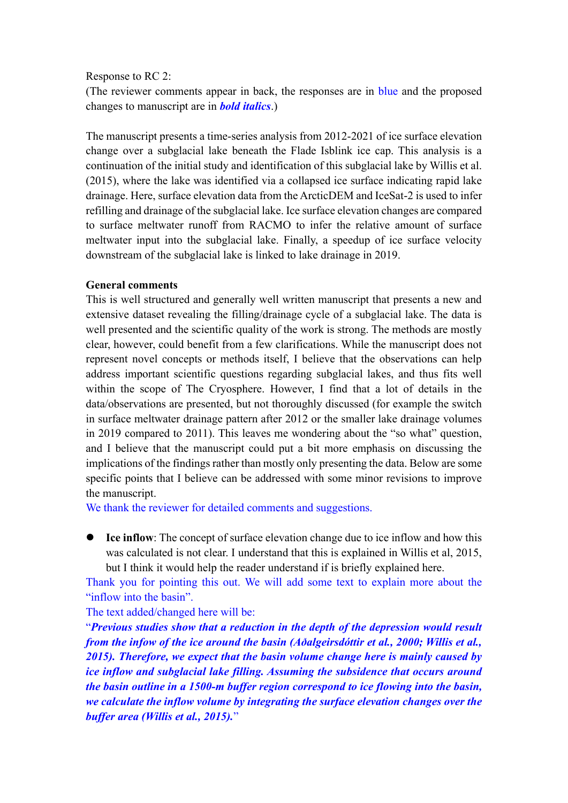## Response to RC 2:

(The reviewer comments appear in back, the responses are in blue and the proposed changes to manuscript are in *bold italics*.)

The manuscript presents a time-series analysis from 2012-2021 of ice surface elevation change over a subglacial lake beneath the Flade Isblink ice cap. This analysis is a continuation of the initial study and identification of this subglacial lake by Willis et al. (2015), where the lake was identified via a collapsed ice surface indicating rapid lake drainage. Here, surface elevation data from the ArcticDEM and IceSat-2 is used to infer refilling and drainage of the subglacial lake. Ice surface elevation changes are compared to surface meltwater runoff from RACMO to infer the relative amount of surface meltwater input into the subglacial lake. Finally, a speedup of ice surface velocity downstream of the subglacial lake is linked to lake drainage in 2019.

## **General comments**

This is well structured and generally well written manuscript that presents a new and extensive dataset revealing the filling/drainage cycle of a subglacial lake. The data is well presented and the scientific quality of the work is strong. The methods are mostly clear, however, could benefit from a few clarifications. While the manuscript does not represent novel concepts or methods itself, I believe that the observations can help address important scientific questions regarding subglacial lakes, and thus fits well within the scope of The Cryosphere. However, I find that a lot of details in the data/observations are presented, but not thoroughly discussed (for example the switch in surface meltwater drainage pattern after 2012 or the smaller lake drainage volumes in 2019 compared to 2011). This leaves me wondering about the "so what" question, and I believe that the manuscript could put a bit more emphasis on discussing the implications of the findings rather than mostly only presenting the data. Below are some specific points that I believe can be addressed with some minor revisions to improve the manuscript.

We thank the reviewer for detailed comments and suggestions.

**Ice inflow:** The concept of surface elevation change due to ice inflow and how this was calculated is not clear. I understand that this is explained in Willis et al, 2015, but I think it would help the reader understand if is briefly explained here.

Thank you for pointing this out. We will add some text to explain more about the "inflow into the basin".

## The text added/changed here will be:

"*Previous studies show that a reduction in the depth of the depression would result from the infow of the ice around the basin (Aðalgeirsdóttir et al., 2000; Willis et al., 2015). Therefore, we expect that the basin volume change here is mainly caused by ice inflow and subglacial lake filling. Assuming the subsidence that occurs around the basin outline in a 1500-m buffer region correspond to ice flowing into the basin, we calculate the inflow volume by integrating the surface elevation changes over the buffer area (Willis et al., 2015).*"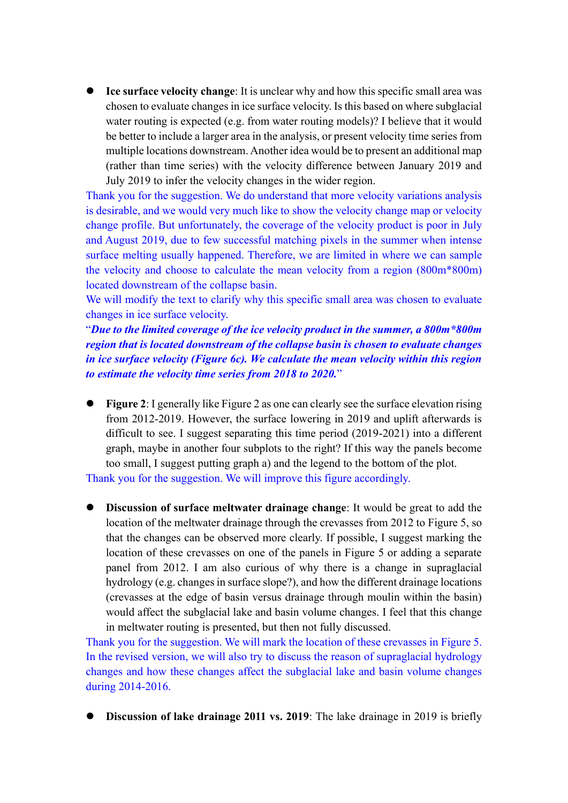⚫ **Ice surface velocity change**: It is unclear why and how this specific small area was chosen to evaluate changes in ice surface velocity. Is this based on where subglacial water routing is expected (e.g. from water routing models)? I believe that it would be better to include a larger area in the analysis, or present velocity time series from multiple locations downstream. Another idea would be to present an additional map (rather than time series) with the velocity difference between January 2019 and July 2019 to infer the velocity changes in the wider region.

Thank you for the suggestion. We do understand that more velocity variations analysis is desirable, and we would very much like to show the velocity change map or velocity change profile. But unfortunately, the coverage of the velocity product is poor in July and August 2019, due to few successful matching pixels in the summer when intense surface melting usually happened. Therefore, we are limited in where we can sample the velocity and choose to calculate the mean velocity from a region (800m\*800m) located downstream of the collapse basin.

We will modify the text to clarify why this specific small area was chosen to evaluate changes in ice surface velocity.

"*Due to the limited coverage of the ice velocity product in the summer, a 800m\*800m region that is located downstream of the collapse basin is chosen to evaluate changes in ice surface velocity (Figure 6c). We calculate the mean velocity within this region to estimate the velocity time series from 2018 to 2020.*"

- ⚫ **Figure 2**: I generally like Figure 2 as one can clearly see the surface elevation rising from 2012-2019. However, the surface lowering in 2019 and uplift afterwards is difficult to see. I suggest separating this time period (2019-2021) into a different graph, maybe in another four subplots to the right? If this way the panels become too small, I suggest putting graph a) and the legend to the bottom of the plot. Thank you for the suggestion. We will improve this figure accordingly.
- ⚫ **Discussion of surface meltwater drainage change**: It would be great to add the location of the meltwater drainage through the crevasses from 2012 to Figure 5, so that the changes can be observed more clearly. If possible, I suggest marking the location of these crevasses on one of the panels in Figure 5 or adding a separate panel from 2012. I am also curious of why there is a change in supraglacial hydrology (e.g. changes in surface slope?), and how the different drainage locations (crevasses at the edge of basin versus drainage through moulin within the basin) would affect the subglacial lake and basin volume changes. I feel that this change in meltwater routing is presented, but then not fully discussed.

Thank you for the suggestion. We will mark the location of these crevasses in Figure 5. In the revised version, we will also try to discuss the reason of supraglacial hydrology changes and how these changes affect the subglacial lake and basin volume changes during 2014-2016.

**Discussion of lake drainage 2011 vs. 2019**: The lake drainage in 2019 is briefly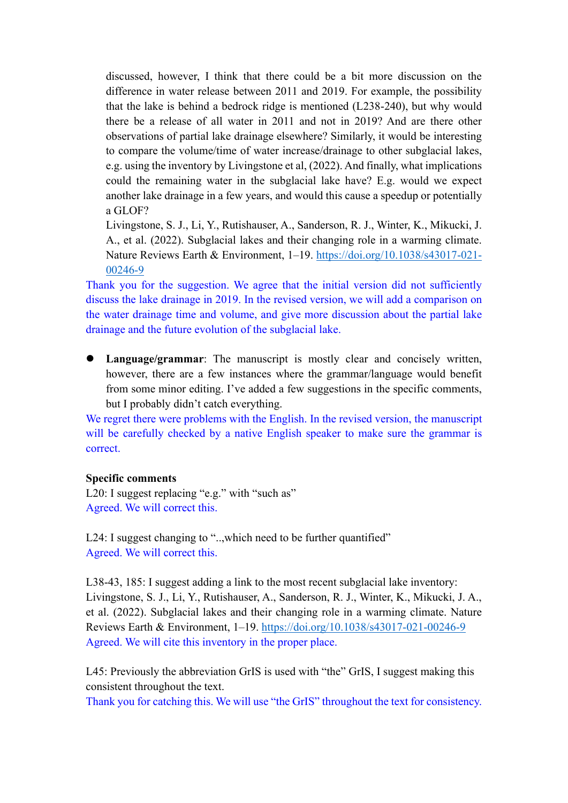discussed, however, I think that there could be a bit more discussion on the difference in water release between 2011 and 2019. For example, the possibility that the lake is behind a bedrock ridge is mentioned (L238-240), but why would there be a release of all water in 2011 and not in 2019? And are there other observations of partial lake drainage elsewhere? Similarly, it would be interesting to compare the volume/time of water increase/drainage to other subglacial lakes, e.g. using the inventory by Livingstone et al, (2022). And finally, what implications could the remaining water in the subglacial lake have? E.g. would we expect another lake drainage in a few years, and would this cause a speedup or potentially a GLOF?

Livingstone, S. J., Li, Y., Rutishauser, A., Sanderson, R. J., Winter, K., Mikucki, J. A., et al. (2022). Subglacial lakes and their changing role in a warming climate. Nature Reviews Earth & Environment, 1–19. [https://doi.org/10.1038/s43017-021-](https://doi.org/10.1038/s43017-021-00246-9) [00246-9](https://doi.org/10.1038/s43017-021-00246-9)

Thank you for the suggestion. We agree that the initial version did not sufficiently discuss the lake drainage in 2019. In the revised version, we will add a comparison on the water drainage time and volume, and give more discussion about the partial lake drainage and the future evolution of the subglacial lake.

⚫ **Language/grammar**: The manuscript is mostly clear and concisely written, however, there are a few instances where the grammar/language would benefit from some minor editing. I've added a few suggestions in the specific comments, but I probably didn't catch everything.

We regret there were problems with the English. In the revised version, the manuscript will be carefully checked by a native English speaker to make sure the grammar is correct.

## **Specific comments**

L20: I suggest replacing "e.g." with "such as" Agreed. We will correct this.

L24: I suggest changing to "..,which need to be further quantified" Agreed. We will correct this.

L38-43, 185: I suggest adding a link to the most recent subglacial lake inventory: Livingstone, S. J., Li, Y., Rutishauser, A., Sanderson, R. J., Winter, K., Mikucki, J. A., et al. (2022). Subglacial lakes and their changing role in a warming climate. Nature Reviews Earth & Environment, 1–19.<https://doi.org/10.1038/s43017-021-00246-9> Agreed. We will cite this inventory in the proper place.

L45: Previously the abbreviation GrIS is used with "the" GrIS, I suggest making this consistent throughout the text.

Thank you for catching this. We will use "the GrIS" throughout the text for consistency.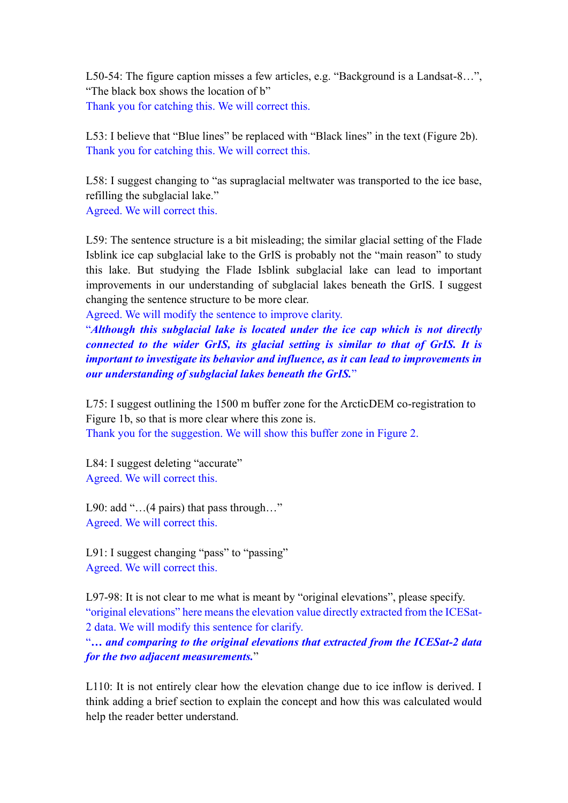L50-54: The figure caption misses a few articles, e.g. "Background is a Landsat-8…", "The black box shows the location of b" Thank you for catching this. We will correct this.

L53: I believe that "Blue lines" be replaced with "Black lines" in the text (Figure 2b). Thank you for catching this. We will correct this.

L58: I suggest changing to "as supraglacial meltwater was transported to the ice base, refilling the subglacial lake." Agreed. We will correct this.

L59: The sentence structure is a bit misleading; the similar glacial setting of the Flade Isblink ice cap subglacial lake to the GrIS is probably not the "main reason" to study this lake. But studying the Flade Isblink subglacial lake can lead to important improvements in our understanding of subglacial lakes beneath the GrIS. I suggest changing the sentence structure to be more clear.

Agreed. We will modify the sentence to improve clarity.

"*Although this subglacial lake is located under the ice cap which is not directly connected to the wider GrIS, its glacial setting is similar to that of GrIS. It is important to investigate its behavior and influence, as it can lead to improvements in our understanding of subglacial lakes beneath the GrIS.*"

L75: I suggest outlining the 1500 m buffer zone for the ArcticDEM co-registration to Figure 1b, so that is more clear where this zone is. Thank you for the suggestion. We will show this buffer zone in Figure 2.

L84: I suggest deleting "accurate" Agreed. We will correct this.

L90: add "...(4 pairs) that pass through..." Agreed. We will correct this.

L91: I suggest changing "pass" to "passing" Agreed. We will correct this.

L97-98: It is not clear to me what is meant by "original elevations", please specify. "original elevations" here means the elevation value directly extracted from the ICESat-2 data. We will modify this sentence for clarify.

"*… and comparing to the original elevations that extracted from the ICESat-2 data for the two adjacent measurements.*"

L110: It is not entirely clear how the elevation change due to ice inflow is derived. I think adding a brief section to explain the concept and how this was calculated would help the reader better understand.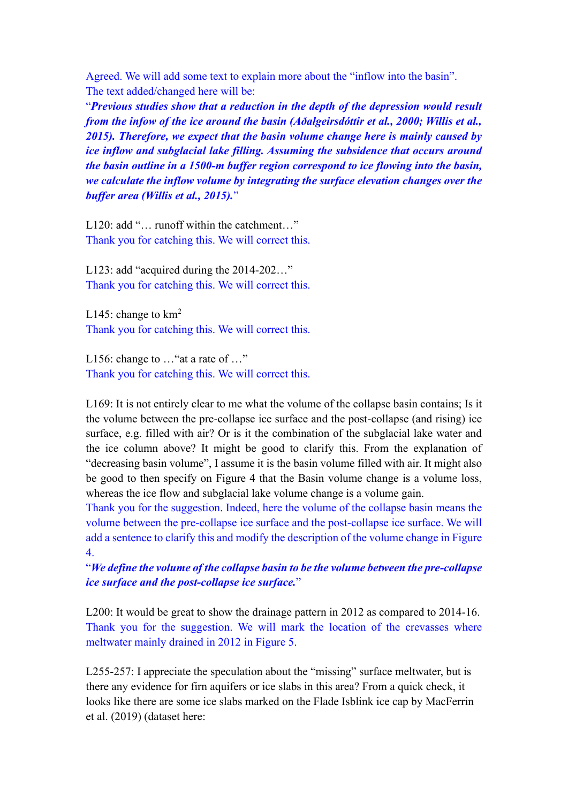Agreed. We will add some text to explain more about the "inflow into the basin". The text added/changed here will be:

"*Previous studies show that a reduction in the depth of the depression would result from the infow of the ice around the basin (Aðalgeirsdóttir et al., 2000; Willis et al., 2015). Therefore, we expect that the basin volume change here is mainly caused by ice inflow and subglacial lake filling. Assuming the subsidence that occurs around the basin outline in a 1500-m buffer region correspond to ice flowing into the basin, we calculate the inflow volume by integrating the surface elevation changes over the buffer area (Willis et al., 2015).*"

L120: add "... runoff within the catchment..." Thank you for catching this. We will correct this.

L123: add "acquired during the 2014-202..." Thank you for catching this. We will correct this.

L145: change to  $km<sup>2</sup>$ Thank you for catching this. We will correct this.

L156: change to ... "at a rate of ..." Thank you for catching this. We will correct this.

L169: It is not entirely clear to me what the volume of the collapse basin contains; Is it the volume between the pre-collapse ice surface and the post-collapse (and rising) ice surface, e.g. filled with air? Or is it the combination of the subglacial lake water and the ice column above? It might be good to clarify this. From the explanation of "decreasing basin volume", I assume it is the basin volume filled with air. It might also be good to then specify on Figure 4 that the Basin volume change is a volume loss, whereas the ice flow and subglacial lake volume change is a volume gain.

Thank you for the suggestion. Indeed, here the volume of the collapse basin means the volume between the pre-collapse ice surface and the post-collapse ice surface. We will add a sentence to clarify this and modify the description of the volume change in Figure 4.

"*We define the volume of the collapse basin to be the volume between the pre-collapse ice surface and the post-collapse ice surface.*"

L200: It would be great to show the drainage pattern in 2012 as compared to 2014-16. Thank you for the suggestion. We will mark the location of the crevasses where meltwater mainly drained in 2012 in Figure 5.

L255-257: I appreciate the speculation about the "missing" surface meltwater, but is there any evidence for firn aquifers or ice slabs in this area? From a quick check, it looks like there are some ice slabs marked on the Flade Isblink ice cap by MacFerrin et al. (2019) (dataset here: